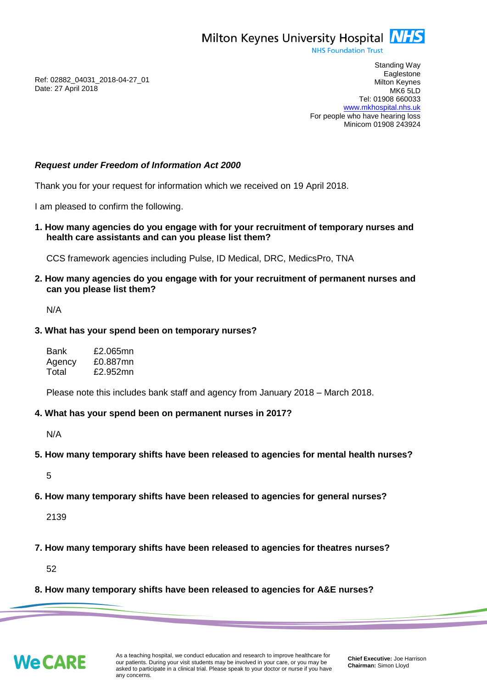Milton Keynes University Hospital **NHS** 

**NHS Foundation Trust** 

Ref: 02882\_04031\_2018-04-27\_01 Date: 27 April 2018

Standing Way **Eaglestone** Milton Keynes MK6 5LD Tel: 01908 660033 [www.mkhospital.nhs.uk](http://www.mkhospital.nhs.uk/) For people who have hearing loss Minicom 01908 243924

## *Request under Freedom of Information Act 2000*

Thank you for your request for information which we received on 19 April 2018.

I am pleased to confirm the following.

**1. How many agencies do you engage with for your recruitment of temporary nurses and health care assistants and can you please list them?**

CCS framework agencies including Pulse, ID Medical, DRC, MedicsPro, TNA

**2. How many agencies do you engage with for your recruitment of permanent nurses and can you please list them?**

N/A

## **3. What has your spend been on temporary nurses?**

| Bank   | £2.065mn |
|--------|----------|
| Agency | £0.887mn |
| Total  | £2.952mn |

Please note this includes bank staff and agency from January 2018 – March 2018.

## **4. What has your spend been on permanent nurses in 2017?**

N/A

**5. How many temporary shifts have been released to agencies for mental health nurses?**

5

**6. How many temporary shifts have been released to agencies for general nurses?**

2139

**7. How many temporary shifts have been released to agencies for theatres nurses?**

52

**8. How many temporary shifts have been released to agencies for A&E nurses?**